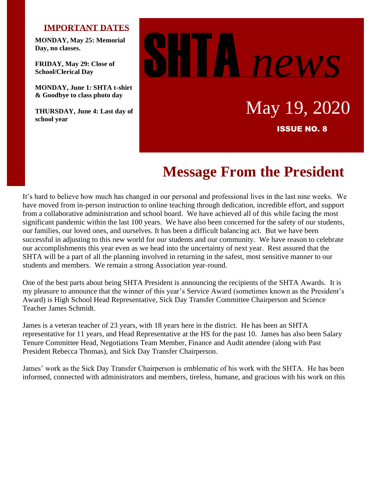#### **IMPORTANT DATES**

**MONDAY, May 25: Memorial Day, no classes.**

**FRIDAY, May 29: Close of School/Clerical Day**

**MONDAY, June 1: SHTA t-shirt & Goodbye to class photo day**

**THURSDAY, June 4: Last day of school year**



# **Message From the President**

It's hard to believe how much has changed in our personal and professional lives in the last nine weeks. We have moved from in-person instruction to online teaching through dedication, incredible effort, and support from a collaborative administration and school board. We have achieved all of this while facing the most significant pandemic within the last 100 years. We have also been concerned for the safety of our students, our families, our loved ones, and ourselves. It has been a difficult balancing act. But we have been successful in adjusting to this new world for our students and our community. We have reason to celebrate our accomplishments this year even as we head into the uncertainty of next year. Rest assured that the SHTA will be a part of all the planning involved in returning in the safest, most sensitive manner to our students and members. We remain a strong Association year-round.

One of the best parts about being SHTA President is announcing the recipients of the SHTA Awards. It is my pleasure to announce that the winner of this year's Service Award (sometimes known as the President's Award) is High School Head Representative, Sick Day Transfer Committee Chairperson and Science Teacher James Schmidt.

James is a veteran teacher of 23 years, with 18 years here in the district. He has been an SHTA representative for 11 years, and Head Representative at the HS for the past 10. James has also been Salary Tenure Committee Head, Negotiations Team Member, Finance and Audit attendee (along with Past President Rebecca Thomas), and Sick Day Transfer Chairperson.

James' work as the Sick Day Transfer Chairperson is emblematic of his work with the SHTA. He has been informed, connected with administrators and members, tireless, humane, and gracious with his work on this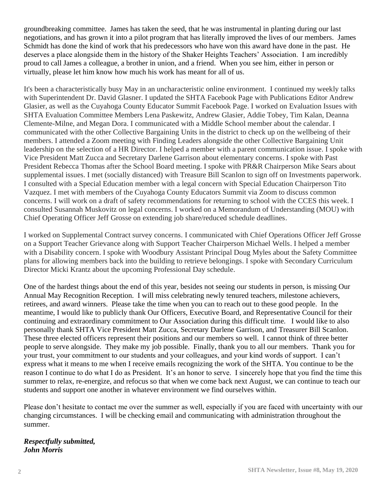groundbreaking committee. James has taken the seed, that he was instrumental in planting during our last negotiations, and has grown it into a pilot program that has literally improved the lives of our members. James Schmidt has done the kind of work that his predecessors who have won this award have done in the past. He deserves a place alongside them in the history of the Shaker Heights Teachers' Association. I am incredibly proud to call James a colleague, a brother in union, and a friend. When you see him, either in person or virtually, please let him know how much his work has meant for all of us.

It's been a characteristically busy May in an uncharacteristic online environment. I continued my weekly talks with Superintendent Dr. David Glasner. I updated the SHTA Facebook Page with Publications Editor Andrew Glasier, as well as the Cuyahoga County Educator Summit Facebook Page. I worked on Evaluation Issues with SHTA Evaluation Committee Members Lena Paskewitz, Andrew Glasier, Addie Tobey, Tim Kalan, Deanna Clemente-Milne, and Megan Dora. I communicated with a Middle School member about the calendar. I communicated with the other Collective Bargaining Units in the district to check up on the wellbeing of their members. I attended a Zoom meeting with Finding Leaders alongside the other Collective Bargaining Unit leadership on the selection of a HR Director. I helped a member with a parent communication issue. I spoke with Vice President Matt Zucca and Secretary Darlene Garrison about elementary concerns. I spoke with Past President Rebecca Thomas after the School Board meeting. I spoke with PR&R Chairperson Mike Sears about supplemental issues. I met (socially distanced) with Treasure Bill Scanlon to sign off on Investments paperwork. I consulted with a Special Education member with a legal concern with Special Education Chairperson Tito Vazquez. I met with members of the Cuyahoga County Educators Summit via Zoom to discuss common concerns. I will work on a draft of safety recommendations for returning to school with the CCES this week. I consulted Susannah Muskovitz on legal concerns. I worked on a Memorandum of Understanding (MOU) with Chief Operating Officer Jeff Grosse on extending job share/reduced schedule deadlines.

I worked on Supplemental Contract survey concerns. I communicated with Chief Operations Officer Jeff Grosse on a Support Teacher Grievance along with Support Teacher Chairperson Michael Wells. I helped a member with a Disability concern. I spoke with Woodbury Assistant Principal Doug Myles about the Safety Committee plans for allowing members back into the building to retrieve belongings. I spoke with Secondary Curriculum Director Micki Krantz about the upcoming Professional Day schedule.

One of the hardest things about the end of this year, besides not seeing our students in person, is missing Our Annual May Recognition Reception. I will miss celebrating newly tenured teachers, milestone achievers, retirees, and award winners. Please take the time when you can to reach out to these good people. In the meantime, I would like to publicly thank Our Officers, Executive Board, and Representative Council for their continuing and extraordinary commitment to Our Association during this difficult time. I would like to also personally thank SHTA Vice President Matt Zucca, Secretary Darlene Garrison, and Treasurer Bill Scanlon. These three elected officers represent their positions and our members so well. I cannot think of three better people to serve alongside. They make my job possible. Finally, thank you to all our members. Thank you for your trust, your commitment to our students and your colleagues, and your kind words of support. I can't express what it means to me when I receive emails recognizing the work of the SHTA. You continue to be the reason I continue to do what I do as President. It's an honor to serve. I sincerely hope that you find the time this summer to relax, re-energize, and refocus so that when we come back next August, we can continue to teach our students and support one another in whatever environment we find ourselves within.

Please don't hesitate to contact me over the summer as well, especially if you are faced with uncertainty with our changing circumstances. I will be checking email and communicating with administration throughout the summer.

#### *Respectfully submitted, John Morris*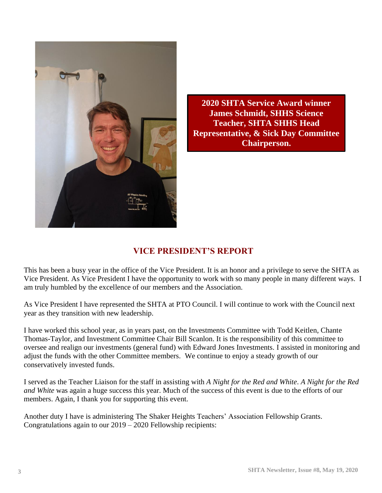

**2020 SHTA Service Award winner James Schmidt, SHHS Science Teacher, SHTA SHHS Head Representative, & Sick Day Committee Chairperson.**

## **VICE PRESIDENT'S REPORT**

This has been a busy year in the office of the Vice President. It is an honor and a privilege to serve the SHTA as Vice President. As Vice President I have the opportunity to work with so many people in many different ways. I am truly humbled by the excellence of our members and the Association.

As Vice President I have represented the SHTA at PTO Council. I will continue to work with the Council next year as they transition with new leadership.

I have worked this school year, as in years past, on the Investments Committee with Todd Keitlen, Chante Thomas-Taylor, and Investment Committee Chair Bill Scanlon. It is the responsibility of this committee to oversee and realign our investments (general fund) with Edward Jones Investments. I assisted in monitoring and adjust the funds with the other Committee members. We continue to enjoy a steady growth of our conservatively invested funds.

I served as the Teacher Liaison for the staff in assisting with *A Night for the Red and White*. *A Night for the Red and White* was again a huge success this year. Much of the success of this event is due to the efforts of our members. Again, I thank you for supporting this event.

Another duty I have is administering The Shaker Heights Teachers' Association Fellowship Grants. Congratulations again to our 2019 – 2020 Fellowship recipients: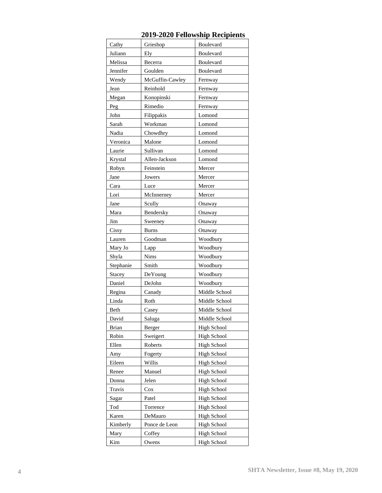| Cathy             | Grieshop                | Boulevard                                |  |
|-------------------|-------------------------|------------------------------------------|--|
| Juliann           | Ely                     | Boulevard                                |  |
| Melissa           | Becerra                 | Boulevard                                |  |
| Jennifer          | Goulden                 | Boulevard                                |  |
| Wendy             | McGuffin-Cawley         | Fernway                                  |  |
| Jean              | Reinhold                | Fernway                                  |  |
| Megan             | Konopinski<br>Fernway   |                                          |  |
| Peg               | Rimedio                 | Fernway                                  |  |
| John              | Filippakis              | Lomond                                   |  |
| Sarah             | Workman                 | Lomond                                   |  |
| Nadia             | Chowdhry                | Lomond                                   |  |
| Veronica          | Malone                  | Lomond                                   |  |
| Laurie            | Sullivan                | Lomond                                   |  |
| Krystal           | Allen-Jackson           | Lomond                                   |  |
| Robyn             | Feinstein               | Mercer                                   |  |
| Jane<br>Jowers    |                         | Mercer                                   |  |
| Cara              | Luce                    | Mercer                                   |  |
| Lori              | McInnerney              | Mercer                                   |  |
| Jane              | Scully                  | Onaway                                   |  |
| Mara              | Bendersky               | Onaway                                   |  |
| Jim               | Sweeney                 | Onaway                                   |  |
| Cissy             | <b>Burns</b>            | Onaway                                   |  |
| Lauren            | Goodman                 | Woodbury                                 |  |
| Mary Jo           | Lapp                    | Woodbury                                 |  |
| Shyla             | <b>Nims</b>             | Woodbury                                 |  |
| Stephanie         | Smith                   | Woodbury                                 |  |
| Stacey            | DeYoung                 | Woodbury                                 |  |
| Daniel            | DeJohn                  | Woodbury                                 |  |
| Regina            | Canady                  | Middle School                            |  |
| Linda             | Roth                    | Middle School                            |  |
| Beth              | Casey                   | Middle School                            |  |
| David             | Saluga                  | Middle School                            |  |
| Brian             | Berger                  | <b>High School</b>                       |  |
| Robin             | Sweigert                | <b>High School</b>                       |  |
| Ellen             |                         |                                          |  |
|                   | Roberts                 | <b>High School</b>                       |  |
| Amy               | Fogerty                 | <b>High School</b>                       |  |
| Eileen            | Willis                  | <b>High School</b>                       |  |
| Renee             | Manuel                  | <b>High School</b>                       |  |
| Donna             | Jelen                   | <b>High School</b>                       |  |
| Travis            | Cox                     | <b>High School</b>                       |  |
| Sagar             | Patel                   | <b>High School</b>                       |  |
| Tod               | Torrence                | <b>High School</b>                       |  |
|                   |                         | <b>High School</b>                       |  |
| Karen<br>Kimberly | DeMauro                 |                                          |  |
| Mary              | Ponce de Leon<br>Coffey | <b>High School</b><br><b>High School</b> |  |

#### **2019-2020 Fellowship Recipients**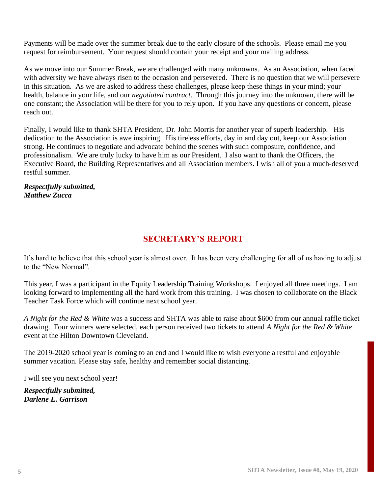Payments will be made over the summer break due to the early closure of the schools. Please email me you request for reimbursement. Your request should contain your receipt and your mailing address.

As we move into our Summer Break, we are challenged with many unknowns. As an Association, when faced with adversity we have always risen to the occasion and persevered. There is no question that we will persevere in this situation. As we are asked to address these challenges, please keep these things in your mind; your health, balance in your life, and our *negotiated contract*. Through this journey into the unknown, there will be one constant; the Association will be there for you to rely upon. If you have any questions or concern, please reach out.

Finally, I would like to thank SHTA President, Dr. John Morris for another year of superb leadership. His dedication to the Association is awe inspiring. His tireless efforts, day in and day out, keep our Association strong. He continues to negotiate and advocate behind the scenes with such composure, confidence, and professionalism. We are truly lucky to have him as our President. I also want to thank the Officers, the Executive Board, the Building Representatives and all Association members. I wish all of you a much-deserved restful summer.

*Respectfully submitted, Matthew Zucca*

## **SECRETARY'S REPORT**

It's hard to believe that this school year is almost over. It has been very challenging for all of us having to adjust to the "New Normal".

This year, I was a participant in the Equity Leadership Training Workshops. I enjoyed all three meetings. I am looking forward to implementing all the hard work from this training. I was chosen to collaborate on the Black Teacher Task Force which will continue next school year.

*A Night for the Red & White* was a success and SHTA was able to raise about \$600 from our annual raffle ticket drawing. Four winners were selected, each person received two tickets to attend *A Night for the Red & White* event at the Hilton Downtown Cleveland.

The 2019-2020 school year is coming to an end and I would like to wish everyone a restful and enjoyable summer vacation. Please stay safe, healthy and remember social distancing.

I will see you next school year!

*Respectfully submitted, Darlene E. Garrison*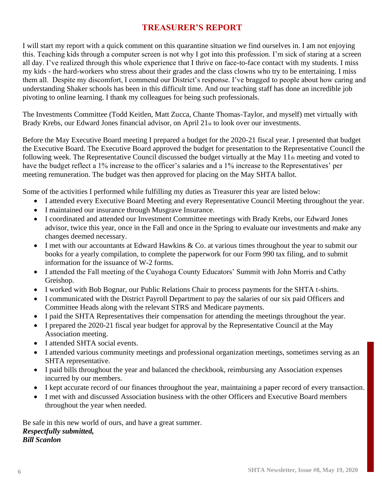## **TREASURER'S REPORT**

I will start my report with a quick comment on this quarantine situation we find ourselves in. I am not enjoying this. Teaching kids through a computer screen is not why I got into this profession. I'm sick of staring at a screen all day. I've realized through this whole experience that I thrive on face-to-face contact with my students. I miss my kids - the hard-workers who stress about their grades and the class clowns who try to be entertaining. I miss them all. Despite my discomfort, I commend our District's response. I've bragged to people about how caring and understanding Shaker schools has been in this difficult time. And our teaching staff has done an incredible job pivoting to online learning. I thank my colleagues for being such professionals.

The Investments Committee (Todd Keitlen, Matt Zucca, Chante Thomas-Taylor, and myself) met virtually with Brady Krebs, our Edward Jones financial advisor, on April 21st to look over our investments.

Before the May Executive Board meeting I prepared a budget for the 2020-21 fiscal year. I presented that budget the Executive Board. The Executive Board approved the budget for presentation to the Representative Council the following week. The Representative Council discussed the budget virtually at the May  $11<sub>th</sub>$  meeting and voted to have the budget reflect a 1% increase to the officer's salaries and a 1% increase to the Representatives' per meeting remuneration. The budget was then approved for placing on the May SHTA ballot.

Some of the activities I performed while fulfilling my duties as Treasurer this year are listed below:

- I attended every Executive Board Meeting and every Representative Council Meeting throughout the year.
- I maintained our insurance through Musgrave Insurance.
- I coordinated and attended our Investment Committee meetings with Brady Krebs, our Edward Jones advisor, twice this year, once in the Fall and once in the Spring to evaluate our investments and make any changes deemed necessary.
- I met with our accountants at Edward Hawkins & Co. at various times throughout the year to submit our books for a yearly compilation, to complete the paperwork for our Form 990 tax filing, and to submit information for the issuance of W-2 forms.
- I attended the Fall meeting of the Cuyahoga County Educators' Summit with John Morris and Cathy Greishop.
- I worked with Bob Bognar, our Public Relations Chair to process payments for the SHTA t-shirts.
- I communicated with the District Payroll Department to pay the salaries of our six paid Officers and Committee Heads along with the relevant STRS and Medicare payments.
- I paid the SHTA Representatives their compensation for attending the meetings throughout the year.
- I prepared the 2020-21 fiscal year budget for approval by the Representative Council at the May Association meeting.
- I attended SHTA social events.
- I attended various community meetings and professional organization meetings, sometimes serving as an SHTA representative.
- I paid bills throughout the year and balanced the checkbook, reimbursing any Association expenses incurred by our members.
- I kept accurate record of our finances throughout the year, maintaining a paper record of every transaction.
- I met with and discussed Association business with the other Officers and Executive Board members throughout the year when needed.

Be safe in this new world of ours, and have a great summer. *Respectfully submitted, Bill Scanlon*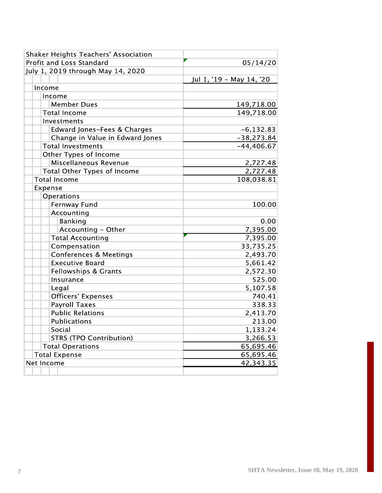| Shaker Heights Teachers' Association |                          |
|--------------------------------------|--------------------------|
| Profit and Loss Standard             | 05/14/20                 |
| July 1, 2019 through May 14, 2020    |                          |
|                                      | Jul 1, '19 - May 14, '20 |
| Income                               |                          |
| Income                               |                          |
| <b>Member Dues</b>                   | 149,718.00               |
| <b>Total Income</b>                  | 149,718.00               |
| Investments                          |                          |
| Edward Jones-Fees & Charges          | $-6,132.83$              |
| Change in Value in Edward Jones      | $-38,273.84$             |
| <b>Total Investments</b>             | $-44,406.67$             |
| Other Types of Income                |                          |
| Miscellaneous Revenue                | 2,727.48                 |
| Total Other Types of Income          | 2,727.48                 |
| <b>Total Income</b>                  | 108,038.81               |
| Expense                              |                          |
| Operations                           |                          |
| Fernway Fund                         | 100.00                   |
| Accounting                           |                          |
| Banking                              | 0.00                     |
| Accounting - Other                   | 7,395.00                 |
| <b>Total Accounting</b>              | 7,395.00                 |
| Compensation                         | 33,735.25                |
| <b>Conferences &amp; Meetings</b>    | 2,493.70                 |
| <b>Executive Board</b>               | 5,661.42                 |
| Fellowships & Grants                 | 2,572.30                 |
| Insurance                            | 525.00                   |
| Legal                                | 5,107.58                 |
| <b>Officers' Expenses</b>            | 740.41                   |
| <b>Payroll Taxes</b>                 | 338.33                   |
| <b>Public Relations</b>              | 2,413.70                 |
| <b>Publications</b>                  | 213.00                   |
| Social                               | 1,133.24                 |
| <b>STRS (TPO Contribution)</b>       | 3,266.53                 |
| <b>Total Operations</b>              | 65,695.46                |
| <b>Total Expense</b>                 | 65,695.46                |
| Net Income                           | 42,343.35                |
|                                      |                          |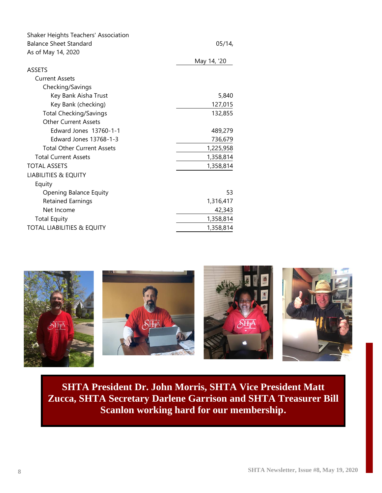| Shaker Heights Teachers' Association  |             |
|---------------------------------------|-------------|
| <b>Balance Sheet Standard</b>         | 05/14       |
| As of May 14, 2020                    |             |
|                                       | May 14, '20 |
| <b>ASSETS</b>                         |             |
| <b>Current Assets</b>                 |             |
| Checking/Savings                      |             |
| Key Bank Aisha Trust                  | 5,840       |
| Key Bank (checking)                   | 127,015     |
| <b>Total Checking/Savings</b>         | 132,855     |
| <b>Other Current Assets</b>           |             |
| Edward Jones 13760-1-1                | 489,279     |
| Edward Jones 13768-1-3                | 736,679     |
| <b>Total Other Current Assets</b>     | 1,225,958   |
| <b>Total Current Assets</b>           | 1,358,814   |
| <b>TOTAL ASSETS</b>                   | 1,358,814   |
| <b>LIABILITIES &amp; EQUITY</b>       |             |
| Equity                                |             |
| Opening Balance Equity                | 53          |
| <b>Retained Earnings</b>              | 1,316,417   |
| Net Income                            | 42,343      |
| <b>Total Equity</b>                   | 1,358,814   |
| <b>TOTAL LIABILITIES &amp; EQUITY</b> | 1,358,814   |



**SHTA President Dr. John Morris, SHTA Vice President Matt Zucca, SHTA Secretary Darlene Garrison and SHTA Treasurer Bill Scanlon working hard for our membership.**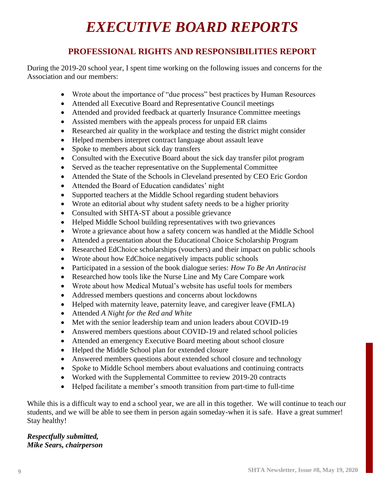# *EXECUTIVE BOARD REPORTS*

## **PROFESSIONAL RIGHTS AND RESPONSIBILITIES REPORT**

During the 2019-20 school year, I spent time working on the following issues and concerns for the Association and our members:

- Wrote about the importance of "due process" best practices by Human Resources
- Attended all Executive Board and Representative Council meetings
- Attended and provided feedback at quarterly Insurance Committee meetings
- Assisted members with the appeals process for unpaid ER claims
- Researched air quality in the workplace and testing the district might consider
- Helped members interpret contract language about assault leave
- Spoke to members about sick day transfers
- Consulted with the Executive Board about the sick day transfer pilot program
- Served as the teacher representative on the Supplemental Committee
- Attended the State of the Schools in Cleveland presented by CEO Eric Gordon
- Attended the Board of Education candidates' night
- Supported teachers at the Middle School regarding student behaviors
- Wrote an editorial about why student safety needs to be a higher priority
- Consulted with SHTA-ST about a possible grievance
- Helped Middle School building representatives with two grievances
- Wrote a grievance about how a safety concern was handled at the Middle School
- Attended a presentation about the Educational Choice Scholarship Program
- Researched EdChoice scholarships (vouchers) and their impact on public schools
- Wrote about how EdChoice negatively impacts public schools
- Participated in a session of the book dialogue series: *How To Be An Antiracist*
- Researched how tools like the Nurse Line and My Care Compare work
- Wrote about how Medical Mutual's website has useful tools for members
- Addressed members questions and concerns about lockdowns
- Helped with maternity leave, paternity leave, and caregiver leave (FMLA)
- Attended *A Night for the Red and White*
- Met with the senior leadership team and union leaders about COVID-19
- Answered members questions about COVID-19 and related school policies
- Attended an emergency Executive Board meeting about school closure
- Helped the Middle School plan for extended closure
- Answered members questions about extended school closure and technology
- Spoke to Middle School members about evaluations and continuing contracts
- Worked with the Supplemental Committee to review 2019-20 contracts
- Helped facilitate a member's smooth transition from part-time to full-time

While this is a difficult way to end a school year, we are all in this together. We will continue to teach our students, and we will be able to see them in person again someday-when it is safe. Have a great summer! Stay healthy!

#### *Respectfully submitted, Mike Sears, chairperson*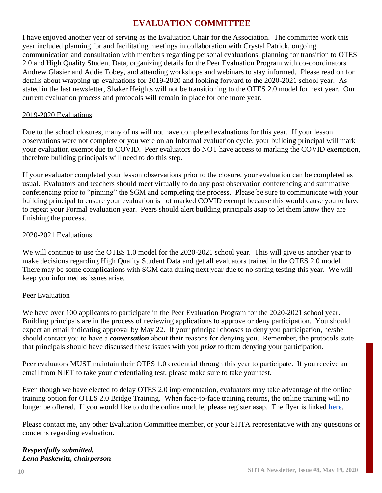## **EVALUATION COMMITTEE**

I have enjoyed another year of serving as the Evaluation Chair for the Association. The committee work this year included planning for and facilitating meetings in collaboration with Crystal Patrick, ongoing communication and consultation with members regarding personal evaluations, planning for transition to OTES 2.0 and High Quality Student Data, organizing details for the Peer Evaluation Program with co-coordinators Andrew Glasier and Addie Tobey, and attending workshops and webinars to stay informed. Please read on for details about wrapping up evaluations for 2019-2020 and looking forward to the 2020-2021 school year. As stated in the last newsletter, Shaker Heights will not be transitioning to the OTES 2.0 model for next year. Our current evaluation process and protocols will remain in place for one more year.

#### 2019-2020 Evaluations

Due to the school closures, many of us will not have completed evaluations for this year. If your lesson observations were not complete or you were on an Informal evaluation cycle, your building principal will mark your evaluation exempt due to COVID. Peer evaluators do NOT have access to marking the COVID exemption, therefore building principals will need to do this step.

If your evaluator completed your lesson observations prior to the closure, your evaluation can be completed as usual. Evaluators and teachers should meet virtually to do any post observation conferencing and summative conferencing prior to "pinning" the SGM and completing the process. Please be sure to communicate with your building principal to ensure your evaluation is not marked COVID exempt because this would cause you to have to repeat your Formal evaluation year. Peers should alert building principals asap to let them know they are finishing the process.

#### 2020-2021 Evaluations

We will continue to use the OTES 1.0 model for the 2020-2021 school year. This will give us another year to make decisions regarding High Quality Student Data and get all evaluators trained in the OTES 2.0 model. There may be some complications with SGM data during next year due to no spring testing this year. We will keep you informed as issues arise.

#### Peer Evaluation

We have over 100 applicants to participate in the Peer Evaluation Program for the 2020-2021 school year. Building principals are in the process of reviewing applications to approve or deny participation. You should expect an email indicating approval by May 22. If your principal chooses to deny you participation, he/she should contact you to have a *conversation* about their reasons for denying you. Remember, the protocols state that principals should have discussed these issues with you *prior* to them denying your participation.

Peer evaluators MUST maintain their OTES 1.0 credential through this year to participate. If you receive an email from NIET to take your credentialing test, please make sure to take your test.

Even though we have elected to delay OTES 2.0 implementation, evaluators may take advantage of the online training option for OTES 2.0 Bridge Training. When face-to-face training returns, the online training will no longer be offered. If you would like to do the online module, please register asap. The flyer is linked [here.](https://drive.google.com/file/d/1mBaCkJ-FF1tdtJMgV5Ehn6QgcpYxGiIh/view)

Please contact me, any other Evaluation Committee member, or your SHTA representative with any questions or concerns regarding evaluation.

#### *Respectfully submitted, Lena Paskewitz, chairperson*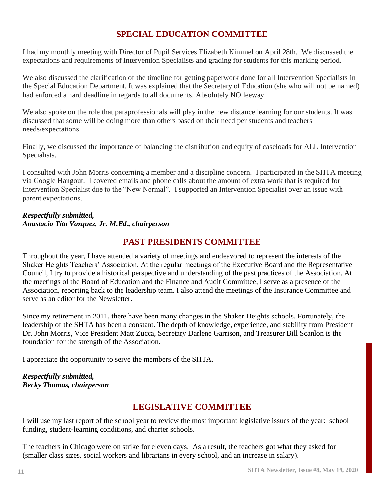## **SPECIAL EDUCATION COMMITTEE**

I had my monthly meeting with Director of Pupil Services Elizabeth Kimmel on April 28th. We discussed the expectations and requirements of Intervention Specialists and grading for students for this marking period.

We also discussed the clarification of the timeline for getting paperwork done for all Intervention Specialists in the Special Education Department. It was explained that the Secretary of Education (she who will not be named) had enforced a hard deadline in regards to all documents. Absolutely NO leeway.

We also spoke on the role that paraprofessionals will play in the new distance learning for our students. It was discussed that some will be doing more than others based on their need per students and teachers needs/expectations.

Finally, we discussed the importance of balancing the distribution and equity of caseloads for ALL Intervention Specialists.

I consulted with John Morris concerning a member and a discipline concern. I participated in the SHTA meeting via Google Hangout. I covered emails and phone calls about the amount of extra work that is required for Intervention Specialist due to the "New Normal". I supported an Intervention Specialist over an issue with parent expectations.

#### *Respectfully submitted, Anastacio Tito Vazquez, Jr. M.Ed*.*, chairperson*

## **PAST PRESIDENTS COMMITTEE**

Throughout the year, I have attended a variety of meetings and endeavored to represent the interests of the Shaker Heights Teachers' Association. At the regular meetings of the Executive Board and the Representative Council, I try to provide a historical perspective and understanding of the past practices of the Association. At the meetings of the Board of Education and the Finance and Audit Committee, I serve as a presence of the Association, reporting back to the leadership team. I also attend the meetings of the Insurance Committee and serve as an editor for the Newsletter.

Since my retirement in 2011, there have been many changes in the Shaker Heights schools. Fortunately, the leadership of the SHTA has been a constant. The depth of knowledge, experience, and stability from President Dr. John Morris, Vice President Matt Zucca, Secretary Darlene Garrison, and Treasurer Bill Scanlon is the foundation for the strength of the Association.

I appreciate the opportunity to serve the members of the SHTA.

#### *Respectfully submitted, Becky Thomas, chairperson*

## **LEGISLATIVE COMMITTEE**

I will use my last report of the school year to review the most important legislative issues of the year: school funding, student-learning conditions, and charter schools.

The teachers in Chicago were on strike for eleven days. As a result, the teachers got what they asked for (smaller class sizes, social workers and librarians in every school, and an increase in salary).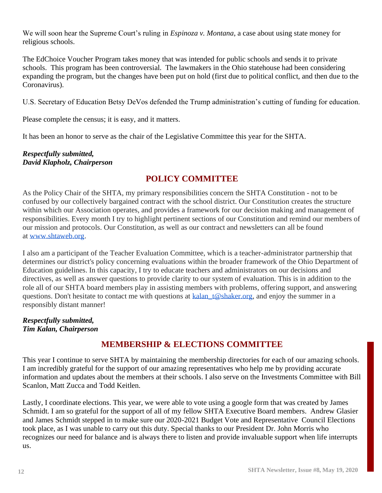We will soon hear the Supreme Court's ruling in *Espinoza v. Montana*, a case about using state money for religious schools.

The EdChoice Voucher Program takes money that was intended for public schools and sends it to private schools. This program has been controversial. The lawmakers in the Ohio statehouse had been considering expanding the program, but the changes have been put on hold (first due to political conflict, and then due to the Coronavirus).

U.S. Secretary of Education Betsy DeVos defended the Trump administration's cutting of funding for education.

Please complete the census; it is easy, and it matters.

It has been an honor to serve as the chair of the Legislative Committee this year for the SHTA.

#### *Respectfully submitted, David Klapholz, Chairperson*

## **POLICY COMMITTEE**

As the Policy Chair of the SHTA, my primary responsibilities concern the SHTA Constitution - not to be confused by our collectively bargained contract with the school district. Our Constitution creates the structure within which our Association operates, and provides a framework for our decision making and management of responsibilities. Every month I try to highlight pertinent sections of our Constitution and remind our members of our mission and protocols. Our Constitution, as well as our contract and newsletters can all be found at [www.shtaweb.org.](http://www.shtaweb.org/)

I also am a participant of the Teacher Evaluation Committee, which is a teacher-administrator partnership that determines our district's policy concerning evaluations within the broader framework of the Ohio Department of Education guidelines. In this capacity, I try to educate teachers and administrators on our decisions and directives, as well as answer questions to provide clarity to our system of evaluation. This is in addition to the role all of our SHTA board members play in assisting members with problems, offering support, and answering questions. Don't hesitate to contact me with questions at [kalan\\_t@shaker.org,](mailto:kalan_t@shaker.org) and enjoy the summer in a responsibly distant manner!

#### *Respectfully submitted, Tim Kalan, Chairperson*

## **MEMBERSHIP & ELECTIONS COMMITTEE**

This year I continue to serve SHTA by maintaining the membership directories for each of our amazing schools. I am incredibly grateful for the support of our amazing representatives who help me by providing accurate information and updates about the members at their schools. I also serve on the Investments Committee with Bill Scanlon, Matt Zucca and Todd Keitlen.

Lastly, I coordinate elections. This year, we were able to vote using a google form that was created by James Schmidt. I am so grateful for the support of all of my fellow SHTA Executive Board members. Andrew Glasier and James Schmidt stepped in to make sure our 2020-2021 Budget Vote and Representative Council Elections took place, as I was unable to carry out this duty. Special thanks to our President Dr. John Morris who recognizes our need for balance and is always there to listen and provide invaluable support when life interrupts us.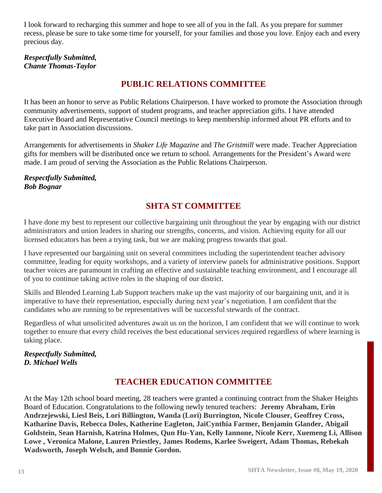I look forward to recharging this summer and hope to see all of you in the fall. As you prepare for summer recess, please be sure to take some time for yourself, for your families and those you love. Enjoy each and every precious day.

#### *Respectfully Submitted, Chante Thomas-Taylor*

## **PUBLIC RELATIONS COMMITTEE**

It has been an honor to serve as Public Relations Chairperson. I have worked to promote the Association through community advertisements, support of student programs, and teacher appreciation gifts. I have attended Executive Board and Representative Council meetings to keep membership informed about PR efforts and to take part in Association discussions.

Arrangements for advertisements in *Shaker Life Magazine* and *The Gristmill* were made. Teacher Appreciation gifts for members will be distributed once we return to school. Arrangements for the President's Award were made. I am proud of serving the Association as the Public Relations Chairperson.

*Respectfully Submitted, Bob Bognar*

## **SHTA ST COMMITTEE**

I have done my best to represent our collective bargaining unit throughout the year by engaging with our district administrators and union leaders in sharing our strengths, concerns, and vision. Achieving equity for all our licensed educators has been a trying task, but we are making progress towards that goal.

I have represented our bargaining unit on several committees including the superintendent teacher advisory committee, leading for equity workshops, and a variety of interview panels for administrative positions. Support teacher voices are paramount in crafting an effective and sustainable teaching environment, and I encourage all of you to continue taking active roles in the shaping of our district.

Skills and Blended Learning Lab Support teachers make up the vast majority of our bargaining unit, and it is imperative to have their representation, especially during next year's negotiation. I am confident that the candidates who are running to be representatives will be successful stewards of the contract.

Regardless of what unsolicited adventures await us on the horizon, I am confident that we will continue to work together to ensure that every child receives the best educational services required regardless of where learning is taking place.

#### *Respectfully Submitted, D. Michael Wells*

## **TEACHER EDUCATION COMMITTEE**

At the May 12th school board meeting, 28 teachers were granted a continuing contract from the Shaker Heights Board of Education. Congratulations to the following newly tenured teachers: **Jeremy Abraham, Erin Andrzejewski, Liesl Beis, Lori Billington, Wanda (Lori) Burrington, Nicole Clouser, Geoffrey Cross, Katharine Davis, Rebecca Doles, Katherine Eagleton, JaiCynthia Farmer, Benjamin Glander, Abigail Goldstein, Sean Harnish, Katrina Holmes, Qun Hu-Yan, Kelly Iannone, Nicole Kerr, Xuemeng Li, Allison Lowe , Veronica Malone, Lauren Priestley, James Rodems, Karlee Sweigert, Adam Thomas, Rebekah Wadsworth, Joseph Welsch, and Bonnie Gordon.**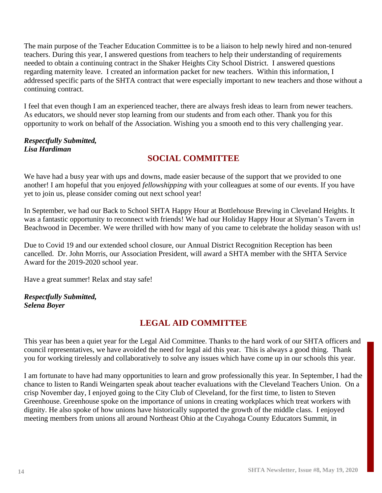The main purpose of the Teacher Education Committee is to be a liaison to help newly hired and non-tenured teachers. During this year, I answered questions from teachers to help their understanding of requirements needed to obtain a continuing contract in the Shaker Heights City School District. I answered questions regarding maternity leave. I created an information packet for new teachers. Within this information, I addressed specific parts of the SHTA contract that were especially important to new teachers and those without a continuing contract.

I feel that even though I am an experienced teacher, there are always fresh ideas to learn from newer teachers. As educators, we should never stop learning from our students and from each other. Thank you for this opportunity to work on behalf of the Association. Wishing you a smooth end to this very challenging year.

#### *Respectfully Submitted, Lisa Hardiman*

## **SOCIAL COMMITTEE**

We have had a busy year with ups and downs, made easier because of the support that we provided to one another! I am hopeful that you enjoyed *fellowshipping* with your colleagues at some of our events. If you have yet to join us, please consider coming out next school year!

In September, we had our Back to School SHTA Happy Hour at Bottlehouse Brewing in Cleveland Heights. It was a fantastic opportunity to reconnect with friends! We had our Holiday Happy Hour at Slyman's Tavern in Beachwood in December. We were thrilled with how many of you came to celebrate the holiday season with us!

Due to Covid 19 and our extended school closure, our Annual District Recognition Reception has been cancelled. Dr. John Morris, our Association President, will award a SHTA member with the SHTA Service Award for the 2019-2020 school year.

Have a great summer! Relax and stay safe!

#### *Respectfully Submitted, Selena Boyer*

## **LEGAL AID COMMITTEE**

This year has been a quiet year for the Legal Aid Committee. Thanks to the hard work of our SHTA officers and council representatives, we have avoided the need for legal aid this year. This is always a good thing. Thank you for working tirelessly and collaboratively to solve any issues which have come up in our schools this year.

I am fortunate to have had many opportunities to learn and grow professionally this year. In September, I had the chance to listen to Randi Weingarten speak about teacher evaluations with the Cleveland Teachers Union. On a crisp November day, I enjoyed going to the City Club of Cleveland, for the first time, to listen to Steven Greenhouse. Greenhouse spoke on the importance of unions in creating workplaces which treat workers with dignity. He also spoke of how unions have historically supported the growth of the middle class. I enjoyed meeting members from unions all around Northeast Ohio at the Cuyahoga County Educators Summit, in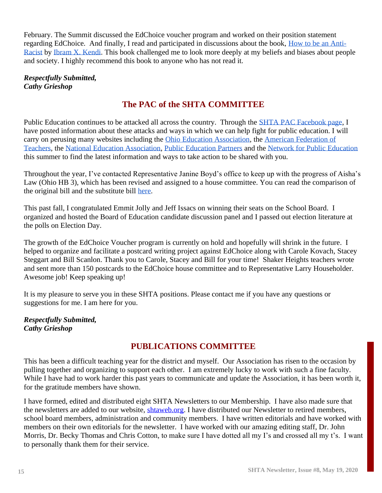February. The Summit discussed the EdChoice voucher program and worked on their position statement regarding EdChoice. And finally, I read and participated in discussions about the book, [How to be an Anti-](https://www.ibramxkendi.com/books-1)[Racist](https://www.ibramxkendi.com/books-1) by [Ibram X. Kendi.](https://www.ibramxkendi.com/blog) This book challenged me to look more deeply at my beliefs and biases about people and society. I highly recommend this book to anyone who has not read it.

*Respectfully Submitted, Cathy Grieshop*

## **The PAC of the SHTA COMMITTEE**

Public Education continues to be attacked all across the country. Through the [SHTA PAC Facebook page,](https://www.facebook.com/groups/218943172136501) I have posted information about these attacks and ways in which we can help fight for public education. I will carry on perusing many websites including the [Ohio Education Association,](https://www.ohea.org/) the [American Federation of](https://www.aft.org/action)  [Teachers,](https://www.aft.org/action) the [National Education Association,](https://educationvotes.nea.org/issues-and-actions/?_ga=2.16908665.1129794261.1589420852-2077830650.1587005411) [Public Education Partners](https://publiceducationpartners.org/news/) and the [Network for Public Education](https://networkforpubliceducation.org/) this summer to find the latest information and ways to take action to be shared with you.

Throughout the year, I've contacted Representative Janine Boyd's office to keep up with the progress of Aisha's Law (Ohio HB 3), which has been revised and assigned to a house committee. You can read the comparison of the original bill and the substitute bill [here.](https://www.legislature.ohio.gov/download?key=12064&format=pdf)

This past fall, I congratulated Emmit Jolly and Jeff Issacs on winning their seats on the School Board. I organized and hosted the Board of Education candidate discussion panel and I passed out election literature at the polls on Election Day.

The growth of the EdChoice Voucher program is currently on hold and hopefully will shrink in the future. I helped to organize and facilitate a postcard writing project against EdChoice along with Carole Kovach, Stacey Steggart and Bill Scanlon. Thank you to Carole, Stacey and Bill for your time! Shaker Heights teachers wrote and sent more than 150 postcards to the EdChoice house committee and to Representative Larry Householder. Awesome job! Keep speaking up!

It is my pleasure to serve you in these SHTA positions. Please contact me if you have any questions or suggestions for me. I am here for you.

*Respectfully Submitted, Cathy Grieshop*

### **PUBLICATIONS COMMITTEE**

This has been a difficult teaching year for the district and myself. Our Association has risen to the occasion by pulling together and organizing to support each other. I am extremely lucky to work with such a fine faculty. While I have had to work harder this past years to communicate and update the Association, it has been worth it, for the gratitude members have shown.

I have formed, edited and distributed eight SHTA Newsletters to our Membership. I have also made sure that the newsletters are added to our website, [shtaweb.org.](http://shtaweb.org/) I have distributed our Newsletter to retired members, school board members, administration and community members. I have written editorials and have worked with members on their own editorials for the newsletter. I have worked with our amazing editing staff, Dr. John Morris, Dr. Becky Thomas and Chris Cotton, to make sure I have dotted all my I's and crossed all my t's. I want to personally thank them for their service.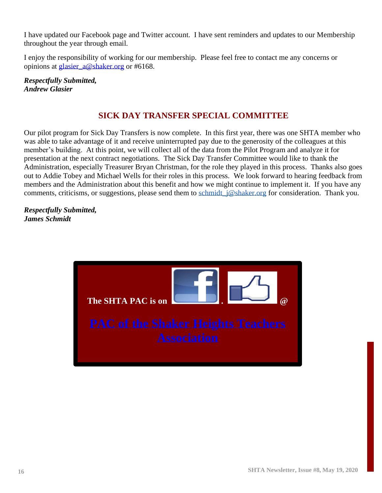I have updated our Facebook page and Twitter account. I have sent reminders and updates to our Membership throughout the year through email.

I enjoy the responsibility of working for our membership. Please feel free to contact me any concerns or opinions at **glasier** a@shaker.org or #6168.

*Respectfully Submitted, Andrew Glasier*

## **SICK DAY TRANSFER SPECIAL COMMITTEE**

Our pilot program for Sick Day Transfers is now complete. In this first year, there was one SHTA member who was able to take advantage of it and receive uninterrupted pay due to the generosity of the colleagues at this member's building. At this point, we will collect all of the data from the Pilot Program and analyze it for presentation at the next contract negotiations. The Sick Day Transfer Committee would like to thank the Administration, especially Treasurer Bryan Christman, for the role they played in this process. Thanks also goes out to Addie Tobey and Michael Wells for their roles in this process. We look forward to hearing feedback from members and the Administration about this benefit and how we might continue to implement it. If you have any comments, criticisms, or suggestions, please send them to schmidt  $j\omega$ shaker.org for consideration. Thank you.

#### *Respectfully Submitted, James Schmidt*

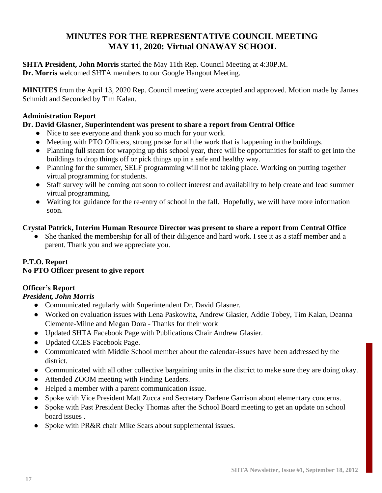## **MINUTES FOR THE REPRESENTATIVE COUNCIL MEETING MAY 11, 2020: Virtual ONAWAY SCHOOL**

**SHTA President, John Morris** started the May 11th Rep. Council Meeting at 4:30P.M. **Dr. Morris** welcomed SHTA members to our Google Hangout Meeting.

**MINUTES** from the April 13, 2020 Rep. Council meeting were accepted and approved. Motion made by James Schmidt and Seconded by Tim Kalan.

#### **Administration Report**

#### **Dr. David Glasner, Superintendent was present to share a report from Central Office**

- Nice to see everyone and thank you so much for your work.
- Meeting with PTO Officers, strong praise for all the work that is happening in the buildings.
- Planning full steam for wrapping up this school year, there will be opportunities for staff to get into the buildings to drop things off or pick things up in a safe and healthy way.
- Planning for the summer, SELF programming will not be taking place. Working on putting together virtual programming for students.
- Staff survey will be coming out soon to collect interest and availability to help create and lead summer virtual programming.
- Waiting for guidance for the re-entry of school in the fall. Hopefully, we will have more information soon.

#### **Crystal Patrick, Interim Human Resource Director was present to share a report from Central Office**

She thanked the membership for all of their diligence and hard work. I see it as a staff member and a parent. Thank you and we appreciate you.

#### **P.T.O. Report**

#### **No PTO Officer present to give report**

#### **Officer's Report**

*President, John Morris*

- Communicated regularly with Superintendent Dr. David Glasner.
- Worked on evaluation issues with Lena Paskowitz, Andrew Glasier, Addie Tobey, Tim Kalan, Deanna Clemente-Milne and Megan Dora - Thanks for their work
- Updated SHTA Facebook Page with Publications Chair Andrew Glasier.
- Updated CCES Facebook Page.
- Communicated with Middle School member about the calendar-issues have been addressed by the district.
- Communicated with all other collective bargaining units in the district to make sure they are doing okay.
- Attended ZOOM meeting with Finding Leaders.
- Helped a member with a parent communication issue.
- Spoke with Vice President Matt Zucca and Secretary Darlene Garrison about elementary concerns.
- Spoke with Past President Becky Thomas after the School Board meeting to get an update on school board issues .
- Spoke with PR&R chair Mike Sears about supplemental issues.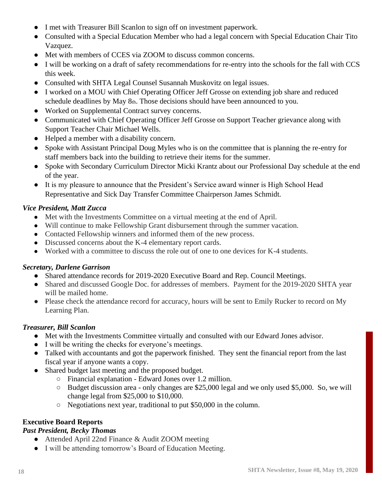- I met with Treasurer Bill Scanlon to sign off on investment paperwork.
- Consulted with a Special Education Member who had a legal concern with Special Education Chair Tito Vazquez.
- Met with members of CCES via ZOOM to discuss common concerns.
- I will be working on a draft of safety recommendations for re-entry into the schools for the fall with CCS this week.
- Consulted with SHTA Legal Counsel Susannah Muskovitz on legal issues.
- I worked on a MOU with Chief Operating Officer Jeff Grosse on extending job share and reduced schedule deadlines by May 8th. Those decisions should have been announced to you.
- Worked on Supplemental Contract survey concerns.
- Communicated with Chief Operating Officer Jeff Grosse on Support Teacher grievance along with Support Teacher Chair Michael Wells.
- Helped a member with a disability concern.
- Spoke with Assistant Principal Doug Myles who is on the committee that is planning the re-entry for staff members back into the building to retrieve their items for the summer.
- Spoke with Secondary Curriculum Director Micki Krantz about our Professional Day schedule at the end of the year.
- It is my pleasure to announce that the President's Service award winner is High School Head Representative and Sick Day Transfer Committee Chairperson James Schmidt.

#### *Vice President, Matt Zucca*

- Met with the Investments Committee on a virtual meeting at the end of April.
- Will continue to make Fellowship Grant disbursement through the summer vacation.
- Contacted Fellowship winners and informed them of the new process.
- Discussed concerns about the K-4 elementary report cards.
- Worked with a committee to discuss the role out of one to one devices for K-4 students.

#### *Secretary, Darlene Garrison*

- Shared attendance records for 2019-2020 Executive Board and Rep. Council Meetings.
- Shared and discussed Google Doc. for addresses of members. Payment for the 2019-2020 SHTA year will be mailed home.
- Please check the attendance record for accuracy, hours will be sent to Emily Rucker to record on My Learning Plan.

#### *Treasurer, Bill Scanlon*

- Met with the Investments Committee virtually and consulted with our Edward Jones advisor.
- I will be writing the checks for everyone's meetings.
- Talked with accountants and got the paperwork finished. They sent the financial report from the last fiscal year if anyone wants a copy.
- Shared budget last meeting and the proposed budget.
	- Financial explanation Edward Jones over 1.2 million.
	- Budget discussion area only changes are \$25,000 legal and we only used \$5,000. So, we will change legal from \$25,000 to \$10,000.
	- Negotiations next year, traditional to put \$50,000 in the column.

#### **Executive Board Reports**

#### *Past President, Becky Thomas*

- Attended April 22nd Finance & Audit ZOOM meeting
- I will be attending tomorrow's Board of Education Meeting.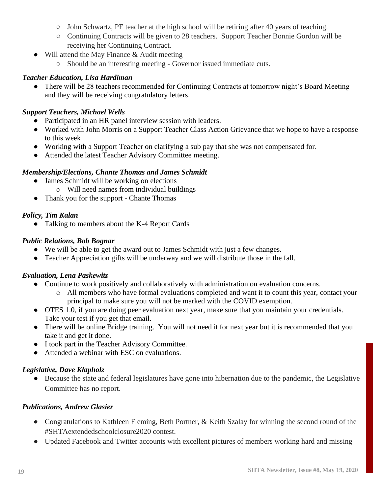- John Schwartz, PE teacher at the high school will be retiring after 40 years of teaching.
- Continuing Contracts will be given to 28 teachers. Support Teacher Bonnie Gordon will be receiving her Continuing Contract.
- Will attend the May Finance & Audit meeting
	- Should be an interesting meeting Governor issued immediate cuts.

#### *Teacher Education, Lisa Hardiman*

• There will be 28 teachers recommended for Continuing Contracts at tomorrow night's Board Meeting and they will be receiving congratulatory letters.

#### *Support Teachers, Michael Wells*

- Participated in an HR panel interview session with leaders.
- Worked with John Morris on a Support Teacher Class Action Grievance that we hope to have a response to this week
- Working with a Support Teacher on clarifying a sub pay that she was not compensated for.
- Attended the latest Teacher Advisory Committee meeting.

#### *Membership/Elections, Chante Thomas and James Schmidt*

- James Schmidt will be working on elections
	- o Will need names from individual buildings
- Thank you for the support Chante Thomas

#### *Policy, Tim Kalan*

• Talking to members about the K-4 Report Cards

#### *Public Relations, Bob Bognar*

- We will be able to get the award out to James Schmidt with just a few changes.
- Teacher Appreciation gifts will be underway and we will distribute those in the fall.

#### *Evaluation, Lena Paskewitz*

- Continue to work positively and collaboratively with administration on evaluation concerns.
	- o All members who have formal evaluations completed and want it to count this year, contact your principal to make sure you will not be marked with the COVID exemption.
- OTES 1.0, if you are doing peer evaluation next year, make sure that you maintain your credentials. Take your test if you get that email.
- There will be online Bridge training. You will not need it for next year but it is recommended that you take it and get it done.
- I took part in the Teacher Advisory Committee.
- Attended a webinar with ESC on evaluations.

#### *Legislative, Dave Klapholz*

● Because the state and federal legislatures have gone into hibernation due to the pandemic, the Legislative Committee has no report.

#### *Publications, Andrew Glasier*

- Congratulations to Kathleen Fleming, Beth Portner, & Keith Szalay for winning the second round of the #SHTAextendedschoolclosure2020 contest.
- Updated Facebook and Twitter accounts with excellent pictures of members working hard and missing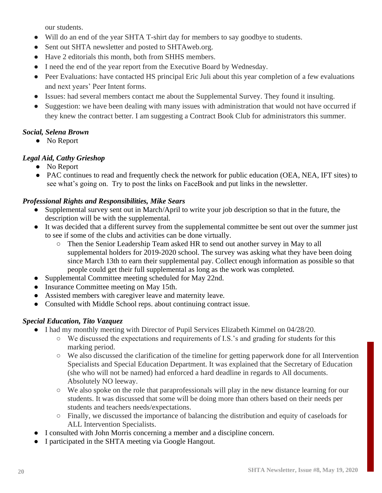our students.

- Will do an end of the year SHTA T-shirt day for members to say goodbye to students.
- Sent out SHTA newsletter and posted to SHTAweb.org.
- Have 2 editorials this month, both from SHHS members.
- I need the end of the year report from the Executive Board by Wednesday.
- Peer Evaluations: have contacted HS principal Eric Juli about this year completion of a few evaluations and next years' Peer Intent forms.
- Issues: had several members contact me about the Supplemental Survey. They found it insulting.
- Suggestion: we have been dealing with many issues with administration that would not have occurred if they knew the contract better. I am suggesting a Contract Book Club for administrators this summer.

#### *Social, Selena Brown*

● No Report

### *Legal Aid, Cathy Grieshop*

- No Report
- PAC continues to read and frequently check the network for public education (OEA, NEA, IFT sites) to see what's going on. Try to post the links on FaceBook and put links in the newsletter.

#### *Professional Rights and Responsibilities, Mike Sears*

- Supplemental survey sent out in March/April to write your job description so that in the future, the description will be with the supplemental.
- It was decided that a different survey from the supplemental committee be sent out over the summer just to see if some of the clubs and activities can be done virtually.
	- Then the Senior Leadership Team asked HR to send out another survey in May to all supplemental holders for 2019-2020 school. The survey was asking what they have been doing since March 13th to earn their supplemental pay. Collect enough information as possible so that people could get their full supplemental as long as the work was completed.
- Supplemental Committee meeting scheduled for May 22nd.
- Insurance Committee meeting on May 15th.
- Assisted members with caregiver leave and maternity leave.
- Consulted with Middle School reps. about continuing contract issue.

#### *Special Education, Tito Vazquez*

- I had my monthly meeting with Director of Pupil Services Elizabeth Kimmel on 04/28/20.
	- We discussed the expectations and requirements of I.S.'s and grading for students for this marking period.
	- We also discussed the clarification of the timeline for getting paperwork done for all Intervention Specialists and Special Education Department. It was explained that the Secretary of Education (she who will not be named) had enforced a hard deadline in regards to All documents. Absolutely NO leeway.
	- We also spoke on the role that paraprofessionals will play in the new distance learning for our students. It was discussed that some will be doing more than others based on their needs per students and teachers needs/expectations.
	- Finally, we discussed the importance of balancing the distribution and equity of caseloads for ALL Intervention Specialists.
- I consulted with John Morris concerning a member and a discipline concern.
- I participated in the SHTA meeting via Google Hangout.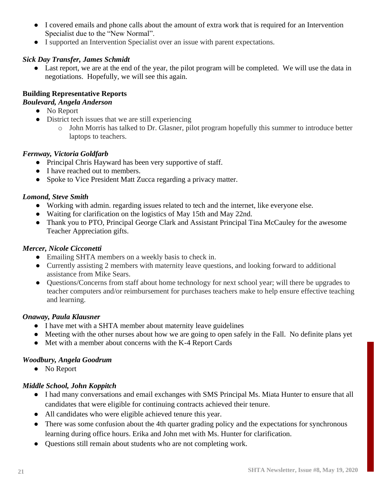- I covered emails and phone calls about the amount of extra work that is required for an Intervention Specialist due to the "New Normal".
- I supported an Intervention Specialist over an issue with parent expectations.

#### *Sick Day Transfer, James Schmidt*

• Last report, we are at the end of the year, the pilot program will be completed. We will use the data in negotiations. Hopefully, we will see this again.

#### **Building Representative Reports**

#### *Boulevard, Angela Anderson*

- No Report
- District tech issues that we are still experiencing
	- o John Morris has talked to Dr. Glasner, pilot program hopefully this summer to introduce better laptops to teachers.

#### *Fernway, Victoria Goldfarb*

- Principal Chris Hayward has been very supportive of staff.
- I have reached out to members.
- Spoke to Vice President Matt Zucca regarding a privacy matter.

#### *Lomond, Steve Smith*

- Working with admin. regarding issues related to tech and the internet, like everyone else.
- Waiting for clarification on the logistics of May 15th and May 22nd.
- Thank you to PTO, Principal George Clark and Assistant Principal Tina McCauley for the awesome Teacher Appreciation gifts.

#### *Mercer, Nicole Cicconetti*

- Emailing SHTA members on a weekly basis to check in.
- Currently assisting 2 members with maternity leave questions, and looking forward to additional assistance from Mike Sears.
- Questions/Concerns from staff about home technology for next school year; will there be upgrades to teacher computers and/or reimbursement for purchases teachers make to help ensure effective teaching and learning.

#### *Onaway, Paula Klausner*

- I have met with a SHTA member about maternity leave guidelines
- Meeting with the other nurses about how we are going to open safely in the Fall. No definite plans yet
- Met with a member about concerns with the K-4 Report Cards

#### *Woodbury, Angela Goodrum*

● No Report

#### *Middle School, John Koppitch*

- I had many conversations and email exchanges with SMS Principal Ms. Miata Hunter to ensure that all candidates that were eligible for continuing contracts achieved their tenure.
- All candidates who were eligible achieved tenure this year.
- There was some confusion about the 4th quarter grading policy and the expectations for synchronous learning during office hours. Erika and John met with Ms. Hunter for clarification.
- Questions still remain about students who are not completing work.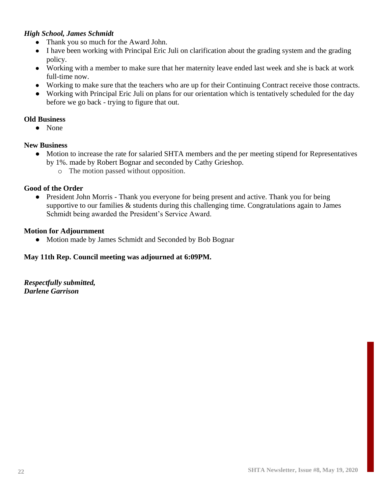#### *High School, James Schmidt*

- Thank you so much for the Award John.
- I have been working with Principal Eric Juli on clarification about the grading system and the grading policy.
- Working with a member to make sure that her maternity leave ended last week and she is back at work full-time now.
- Working to make sure that the teachers who are up for their Continuing Contract receive those contracts.
- Working with Principal Eric Juli on plans for our orientation which is tentatively scheduled for the day before we go back - trying to figure that out.

#### **Old Business**

● None

#### **New Business**

- Motion to increase the rate for salaried SHTA members and the per meeting stipend for Representatives by 1%. made by Robert Bognar and seconded by Cathy Grieshop.
	- o The motion passed without opposition.

#### **Good of the Order**

• President John Morris - Thank you everyone for being present and active. Thank you for being supportive to our families & students during this challenging time. Congratulations again to James Schmidt being awarded the President's Service Award.

#### **Motion for Adjournment**

• Motion made by James Schmidt and Seconded by Bob Bognar

#### **May 11th Rep. Council meeting was adjourned at 6:09PM.**

*Respectfully submitted, Darlene Garrison*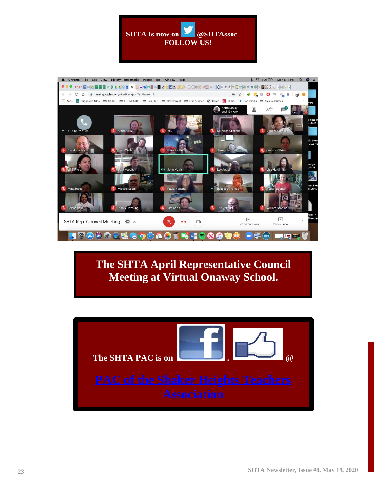



**The SHTA April Representative Council Meeting at Virtual Onaway School.**

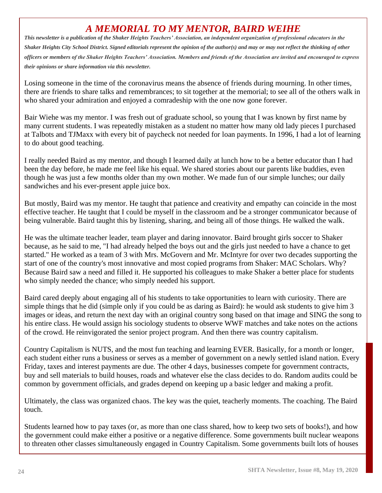## *A MEMORIAL TO MY MENTOR, BAIRD WEIHE*

*This newsletter is a publication of the Shaker Heights Teachers' Association, an independent organization of professional educators in the Shaker Heights City School District. Signed editorials represent the opinion of the author(s) and may or may not reflect the thinking of other officers or members of the Shaker Heights Teachers' Association. Members and friends of the Association are invited and encouraged to express their opinions or share information via this newsletter.*

Losing someone in the time of the coronavirus means the absence of friends during mourning. In other times, there are friends to share talks and remembrances; to sit together at the memorial; to see all of the others walk in who shared your admiration and enjoyed a comradeship with the one now gone forever.

Bair Wiehe was my mentor. I was fresh out of graduate school, so young that I was known by first name by many current students. I was repeatedly mistaken as a student no matter how many old lady pieces I purchased at Talbots and TJMaxx with every bit of paycheck not needed for loan payments. In 1996, I had a lot of learning to do about good teaching.

I really needed Baird as my mentor, and though I learned daily at lunch how to be a better educator than I had been the day before, he made me feel like his equal. We shared stories about our parents like buddies, even though he was just a few months older than my own mother. We made fun of our simple lunches; our daily sandwiches and his ever-present apple juice box.

But mostly, Baird was my mentor. He taught that patience and creativity and empathy can coincide in the most effective teacher. He taught that I could be myself in the classroom and be a stronger communicator because of being vulnerable. Baird taught this by listening, sharing, and being all of those things. He walked the walk.

He was the ultimate teacher leader, team player and daring innovator. Baird brought girls soccer to Shaker because, as he said to me, "I had already helped the boys out and the girls just needed to have a chance to get started." He worked as a team of 3 with Mrs. McGovern and Mr. McIntyre for over two decades supporting the start of one of the country's most innovative and most copied programs from Shaker: MAC Scholars. Why? Because Baird saw a need and filled it. He supported his colleagues to make Shaker a better place for students who simply needed the chance; who simply needed his support.

Baird cared deeply about engaging all of his students to take opportunities to learn with curiosity. There are simple things that he did (simple only if you could be as daring as Baird): he would ask students to give him 3 images or ideas, and return the next day with an original country song based on that image and SING the song to his entire class. He would assign his sociology students to observe WWF matches and take notes on the actions of the crowd. He reinvigorated the senior project program. And then there was country capitalism.

Country Capitalism is NUTS, and the most fun teaching and learning EVER. Basically, for a month or longer, each student either runs a business or serves as a member of government on a newly settled island nation. Every Friday, taxes and interest payments are due. The other 4 days, businesses compete for government contracts, buy and sell materials to build houses, roads and whatever else the class decides to do. Random audits could be common by government officials, and grades depend on keeping up a basic ledger and making a profit.

Ultimately, the class was organized chaos. The key was the quiet, teacherly moments. The coaching. The Baird touch.

Students learned how to pay taxes (or, as more than one class shared, how to keep two sets of books!), and how the government could make either a positive or a negative difference. Some governments built nuclear weapons to threaten other classes simultaneously engaged in Country Capitalism. Some governments built lots of houses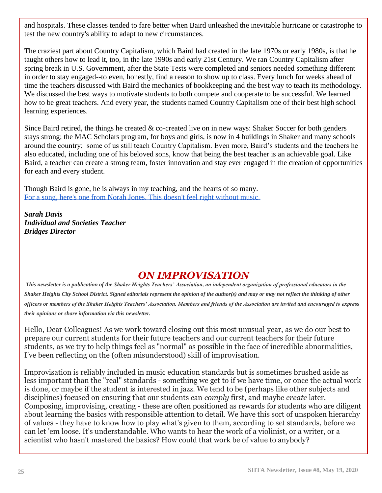and hospitals. These classes tended to fare better when Baird unleashed the inevitable hurricane or catastrophe to test the new country's ability to adapt to new circumstances.

The craziest part about Country Capitalism, which Baird had created in the late 1970s or early 1980s, is that he taught others how to lead it, too, in the late 1990s and early 21st Century. We ran Country Capitalism after spring break in U.S. Government, after the State Tests were completed and seniors needed something different in order to stay engaged--to even, honestly, find a reason to show up to class. Every lunch for weeks ahead of time the teachers discussed with Baird the mechanics of bookkeeping and the best way to teach its methodology. We discussed the best ways to motivate students to both compete and cooperate to be successful. We learned how to be great teachers. And every year, the students named Country Capitalism one of their best high school learning experiences.

Since Baird retired, the things he created  $\&$  co-created live on in new ways: Shaker Soccer for both genders stays strong; the MAC Scholars program, for boys and girls, is now in 4 buildings in Shaker and many schools around the country; some of us still teach Country Capitalism. Even more, Baird's students and the teachers he also educated, including one of his beloved sons, know that being the best teacher is an achievable goal. Like Baird, a teacher can create a strong team, foster innovation and stay ever engaged in the creation of opportunities for each and every student.

Though Baird is gone, he is always in my teaching, and the hearts of so many. [For a song, here's one from Norah Jones. This doesn't feel right without music.](https://youtu.be/HO8yy1Nj2lY)

*Sarah Davis Individual and Societies Teacher Bridges Director*

## *ON IMPROVISATION*

*This newsletter is a publication of the Shaker Heights Teachers' Association, an independent organization of professional educators in the Shaker Heights City School District. Signed editorials represent the opinion of the author(s) and may or may not reflect the thinking of other officers or members of the Shaker Heights Teachers' Association. Members and friends of the Association are invited and encouraged to express their opinions or share information via this newsletter.*

Hello, Dear Colleagues! As we work toward closing out this most unusual year, as we do our best to prepare our current students for their future teachers and our current teachers for their future students, as we try to help things feel as "normal" as possible in the face of incredible abnormalities, I've been reflecting on the (often misunderstood) skill of improvisation.

Improvisation is reliably included in music education standards but is sometimes brushed aside as less important than the "real" standards - something we get to if we have time, or once the actual work is done, or maybe if the student is interested in jazz. We tend to be (perhaps like other subjects and disciplines) focused on ensuring that our students can *comply* first, and maybe *create* later. Composing, improvising, creating - these are often positioned as rewards for students who are diligent about learning the basics with responsible attention to detail. We have this sort of unspoken hierarchy of values - they have to know how to play what's given to them, according to set standards, before we can let 'em loose. It's understandable. Who wants to hear the work of a violinist, or a writer, or a scientist who hasn't mastered the basics? How could that work be of value to anybody?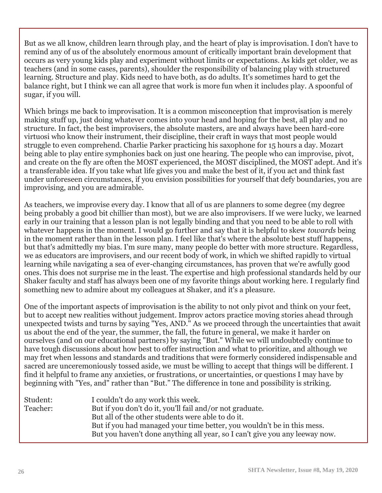But as we all know, children learn through play, and the heart of play is improvisation. I don't have to remind any of us of the absolutely enormous amount of critically important brain development that occurs as very young kids play and experiment without limits or expectations. As kids get older, we as teachers (and in some cases, parents), shoulder the responsibility of balancing play with structured learning. Structure and play. Kids need to have both, as do adults. It's sometimes hard to get the balance right, but I think we can all agree that work is more fun when it includes play. A spoonful of sugar, if you will.

Which brings me back to improvisation. It is a common misconception that improvisation is merely making stuff up, just doing whatever comes into your head and hoping for the best, all play and no structure. In fact, the best improvisers, the absolute masters, are and always have been hard-core virtuosi who know their instrument, their discipline, their craft in ways that most people would struggle to even comprehend. Charlie Parker practicing his saxophone for 15 hours a day. Mozart being able to play entire symphonies back on just one hearing. The people who can improvise, pivot, and create on the fly are often the MOST experienced, the MOST disciplined, the MOST adept. And it's a transferable idea. If you take what life gives you and make the best of it, if you act and think fast under unforeseen circumstances, if you envision possibilities for yourself that defy boundaries, you are improvising, and you are admirable.

As teachers, we improvise every day. I know that all of us are planners to some degree (my degree being probably a good bit chillier than most), but we are also improvisers. If we were lucky, we learned early in our training that a lesson plan is not legally binding and that you need to be able to roll with whatever happens in the moment. I would go further and say that it is helpful to skew *towards* being in the moment rather than in the lesson plan. I feel like that's where the absolute best stuff happens, but that's admittedly my bias. I'm sure many, many people do better with more structure. Regardless, we as educators are improvisers, and our recent body of work, in which we shifted rapidly to virtual learning while navigating a sea of ever-changing circumstances, has proven that we're awfully good ones. This does not surprise me in the least. The expertise and high professional standards held by our Shaker faculty and staff has always been one of my favorite things about working here. I regularly find something new to admire about my colleagues at Shaker, and it's a pleasure.

One of the important aspects of improvisation is the ability to not only pivot and think on your feet, but to accept new realities without judgement. Improv actors practice moving stories ahead through unexpected twists and turns by saying "Yes, AND." As we proceed through the uncertainties that await us about the end of the year, the summer, the fall, the future in general, we make it harder on ourselves (and on our educational partners) by saying "But." While we will undoubtedly continue to have tough discussions about how best to offer instruction and what to prioritize, and although we may fret when lessons and standards and traditions that were formerly considered indispensable and sacred are unceremoniously tossed aside, we must be willing to accept that things will be different. I find it helpful to frame any anxieties, or frustrations, or uncertainties, or questions I may have by beginning with "Yes, and" rather than "But." The difference in tone and possibility is striking.

| Student: | I couldn't do any work this week.                                           |
|----------|-----------------------------------------------------------------------------|
| Teacher: | But if you don't do it, you'll fail and/or not graduate.                    |
|          | But all of the other students were able to do it.                           |
|          | But if you had managed your time better, you wouldn't be in this mess.      |
|          | But you haven't done anything all year, so I can't give you any leeway now. |
|          |                                                                             |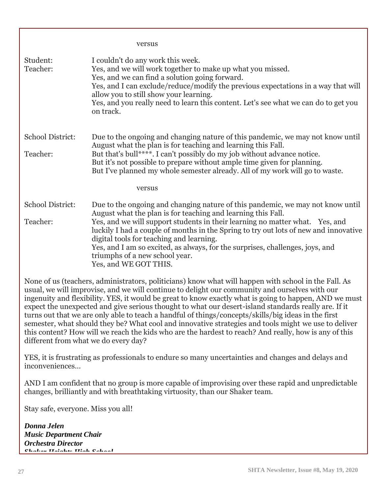|                                                                           | versus                                                                                                                                                                                                                                                                                                                                                                                                                                                                                                                                                                                                                                                                                                                                                                                   |
|---------------------------------------------------------------------------|------------------------------------------------------------------------------------------------------------------------------------------------------------------------------------------------------------------------------------------------------------------------------------------------------------------------------------------------------------------------------------------------------------------------------------------------------------------------------------------------------------------------------------------------------------------------------------------------------------------------------------------------------------------------------------------------------------------------------------------------------------------------------------------|
| Student:<br>Teacher:                                                      | I couldn't do any work this week.<br>Yes, and we will work together to make up what you missed.<br>Yes, and we can find a solution going forward.<br>Yes, and I can exclude/reduce/modify the previous expectations in a way that will<br>allow you to still show your learning.<br>Yes, and you really need to learn this content. Let's see what we can do to get you<br>on track.                                                                                                                                                                                                                                                                                                                                                                                                     |
| School District:<br>Teacher:                                              | Due to the ongoing and changing nature of this pandemic, we may not know until<br>August what the plan is for teaching and learning this Fall.<br>But that's bull****. I can't possibly do my job without advance notice.<br>But it's not possible to prepare without ample time given for planning.<br>But I've planned my whole semester already. All of my work will go to waste.                                                                                                                                                                                                                                                                                                                                                                                                     |
|                                                                           | versus                                                                                                                                                                                                                                                                                                                                                                                                                                                                                                                                                                                                                                                                                                                                                                                   |
| School District:<br>Teacher:                                              | Due to the ongoing and changing nature of this pandemic, we may not know until<br>August what the plan is for teaching and learning this Fall.<br>Yes, and we will support students in their learning no matter what. Yes, and<br>luckily I had a couple of months in the Spring to try out lots of new and innovative<br>digital tools for teaching and learning.<br>Yes, and I am so excited, as always, for the surprises, challenges, joys, and<br>triumphs of a new school year.<br>Yes, and WE GOT THIS.                                                                                                                                                                                                                                                                           |
|                                                                           | None of us (teachers, administrators, politicians) know what will happen with school in the Fall. As<br>usual, we will improvise, and we will continue to delight our community and ourselves with our<br>ingenuity and flexibility. YES, it would be great to know exactly what is going to happen, AND we must<br>expect the unexpected and give serious thought to what our desert-island standards really are. If it<br>turns out that we are only able to teach a handful of things/concepts/skills/big ideas in the first<br>semester, what should they be? What cool and innovative strategies and tools might we use to deliver<br>this content? How will we reach the kids who are the hardest to reach? And really, how is any of this<br>different from what we do every day? |
| inconveniences                                                            | YES, it is frustrating as professionals to endure so many uncertainties and changes and delays and                                                                                                                                                                                                                                                                                                                                                                                                                                                                                                                                                                                                                                                                                       |
|                                                                           | AND I am confident that no group is more capable of improvising over these rapid and unpredictable<br>changes, brilliantly and with breathtaking virtuosity, than our Shaker team.                                                                                                                                                                                                                                                                                                                                                                                                                                                                                                                                                                                                       |
| Stay safe, everyone. Miss you all!                                        |                                                                                                                                                                                                                                                                                                                                                                                                                                                                                                                                                                                                                                                                                                                                                                                          |
| Donna Jelen<br><b>Music Department Chair</b><br><b>Orchestra Director</b> |                                                                                                                                                                                                                                                                                                                                                                                                                                                                                                                                                                                                                                                                                                                                                                                          |

*Shaker Heights High School*